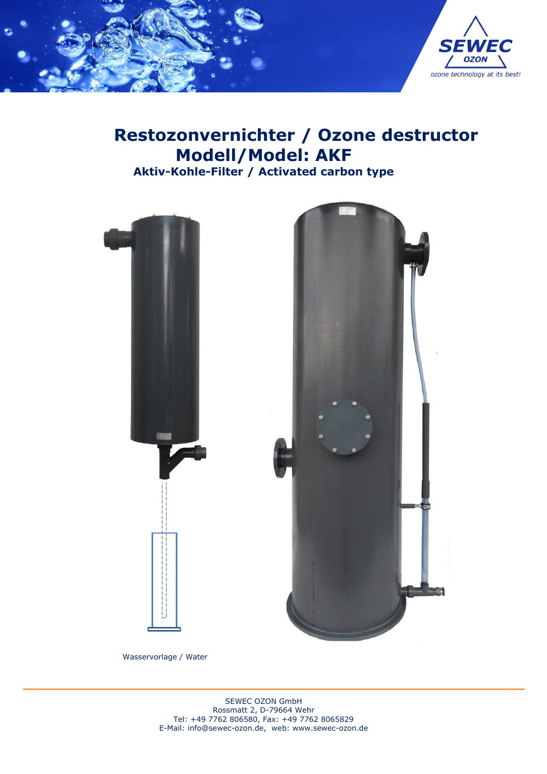

# **Restozonvernichter / Ozone destructor Modell/Model: AKF Aktiv-Kohle-Filter / Activated carbon type**



Wasservorlage / Water rap